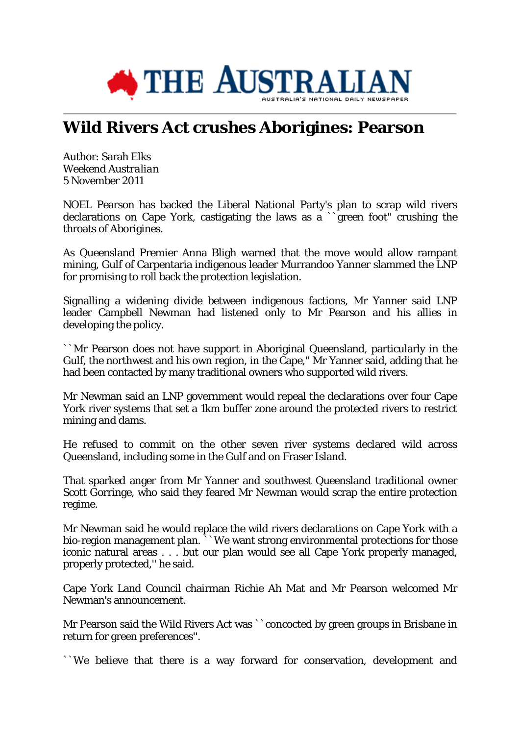

## **Wild Rivers Act crushes Aborigines: Pearson**

Author: Sarah Elks *Weekend Australian* 5 November 2011

NOEL Pearson has backed the Liberal National Party's plan to scrap wild rivers declarations on Cape York, castigating the laws as a ``green foot'' crushing the throats of Aborigines.

As Queensland Premier Anna Bligh warned that the move would allow rampant mining, Gulf of Carpentaria indigenous leader Murrandoo Yanner slammed the LNP for promising to roll back the protection legislation.

Signalling a widening divide between indigenous factions, Mr Yanner said LNP leader Campbell Newman had listened only to Mr Pearson and his allies in developing the policy.

``Mr Pearson does not have support in Aboriginal Queensland, particularly in the Gulf, the northwest and his own region, in the Cape,'' Mr Yanner said, adding that he had been contacted by many traditional owners who supported wild rivers.

Mr Newman said an LNP government would repeal the declarations over four Cape York river systems that set a 1km buffer zone around the protected rivers to restrict mining and dams.

He refused to commit on the other seven river systems declared wild across Queensland, including some in the Gulf and on Fraser Island.

That sparked anger from Mr Yanner and southwest Queensland traditional owner Scott Gorringe, who said they feared Mr Newman would scrap the entire protection regime.

Mr Newman said he would replace the wild rivers declarations on Cape York with a bio-region management plan.  $\sim$  We want strong environmental protections for those iconic natural areas . . . but our plan would see all Cape York properly managed, properly protected,'' he said.

Cape York Land Council chairman Richie Ah Mat and Mr Pearson welcomed Mr Newman's announcement.

Mr Pearson said the Wild Rivers Act was ``concocted by green groups in Brisbane in return for green preferences''.

``We believe that there is a way forward for conservation, development and